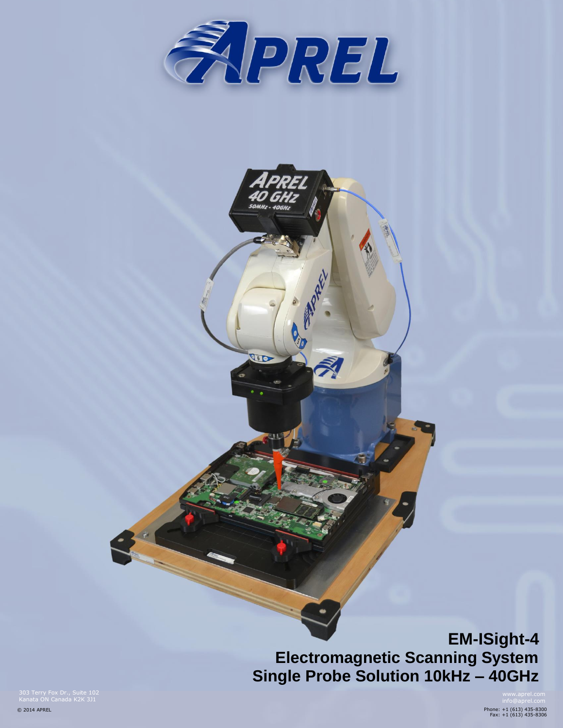

 $\sqrt{6D}$ 

# **EM-ISight-4 Electromagnetic Scanning System Single Probe Solution 10kHz – 40GHz**

303 Terry Fox Dr., Suite 102 Kanata ON Canada K2K 3J1

© 2014 APREL

Phone: +1 (613) 435-8300 Fax: +1 (613) 435-8306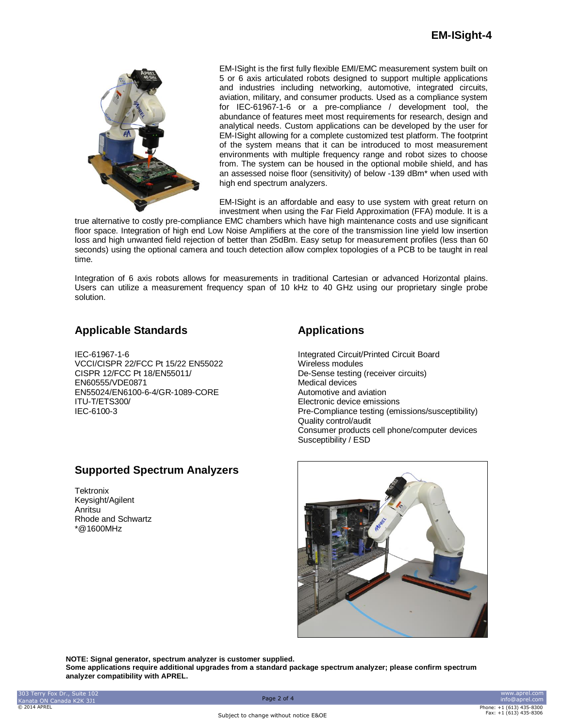

EM-ISight is the first fully flexible EMI/EMC measurement system built on 5 or 6 axis articulated robots designed to support multiple applications and industries including networking, automotive, integrated circuits, aviation, military, and consumer products. Used as a compliance system for IEC-61967-1-6 or a pre-compliance / development tool, the abundance of features meet most requirements for research, design and analytical needs. Custom applications can be developed by the user for EM-ISight allowing for a complete customized test platform. The footprint of the system means that it can be introduced to most measurement environments with multiple frequency range and robot sizes to choose from. The system can be housed in the optional mobile shield, and has an assessed noise floor (sensitivity) of below -139 dBm\* when used with high end spectrum analyzers.

EM-ISight is an affordable and easy to use system with great return on investment when using the Far Field Approximation (FFA) module. It is a

true alternative to costly pre-compliance EMC chambers which have high maintenance costs and use significant floor space. Integration of high end Low Noise Amplifiers at the core of the transmission line yield low insertion loss and high unwanted field rejection of better than 25dBm. Easy setup for measurement profiles (less than 60 seconds) using the optional camera and touch detection allow complex topologies of a PCB to be taught in real time.

Integration of 6 axis robots allows for measurements in traditional Cartesian or advanced Horizontal plains. Users can utilize a measurement frequency span of 10 kHz to 40 GHz using our proprietary single probe solution.

## **Applicable Standards**

IEC-61967-1-6 VCCI/CISPR 22/FCC Pt 15/22 EN55022 CISPR 12/FCC Pt 18/EN55011/ EN60555/VDE0871 EN55024/EN6100-6-4/GR-1089-CORE ITU-T/ETS300/ IEC-6100-3

## **Supported Spectrum Analyzers**

**Tektronix** Keysight/Agilent Anritsu Rhode and Schwartz \*@1600MHz

# **Applications**

Integrated Circuit/Printed Circuit Board Wireless modules De-Sense testing (receiver circuits) Medical devices Automotive and aviation Electronic device emissions Pre-Compliance testing (emissions/susceptibility) Quality control/audit Consumer products cell phone/computer devices Susceptibility / ESD



**NOTE: Signal generator, spectrum analyzer is customer supplied.**

**Some applications require additional upgrades from a standard package spectrum analyzer; please confirm spectrum analyzer compatibility with APREL.**

Subject to change without notice E&OE

www.aprel.com info@aprel.com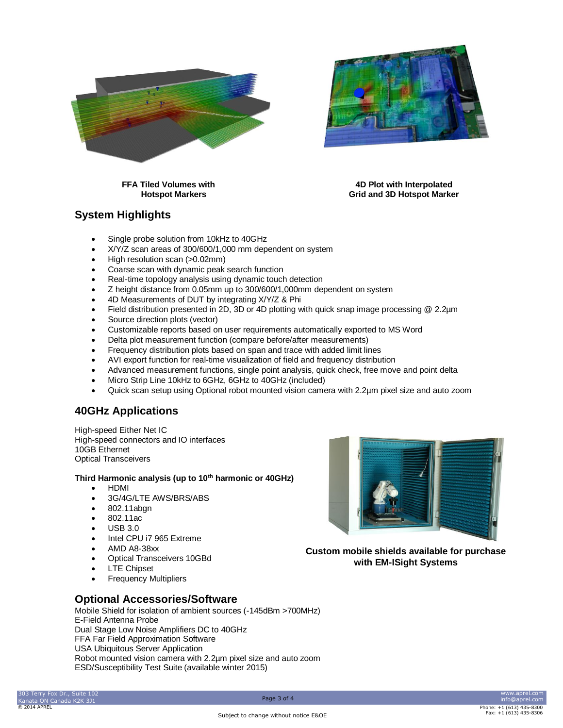



 **FFA Tiled Volumes with 4D Plot with Interpolated Hotspot Markers Grid and 3D Hotspot Marker**

## **System Highlights**

- Single probe solution from 10kHz to 40GHz
- X/Y/Z scan areas of 300/600/1,000 mm dependent on system
- High resolution scan (>0.02mm)
- Coarse scan with dynamic peak search function
- Real-time topology analysis using dynamic touch detection
- Z height distance from 0.05mm up to 300/600/1,000mm dependent on system
- 4D Measurements of DUT by integrating X/Y/Z & Phi
- Field distribution presented in 2D, 3D or 4D plotting with quick snap image processing @ 2.2µm
- Source direction plots (vector)
- Customizable reports based on user requirements automatically exported to MS Word
- Delta plot measurement function (compare before/after measurements)
- Frequency distribution plots based on span and trace with added limit lines
- AVI export function for real-time visualization of field and frequency distribution
- Advanced measurement functions, single point analysis, quick check, free move and point delta
- Micro Strip Line 10kHz to 6GHz, 6GHz to 40GHz (included)
- Quick scan setup using Optional robot mounted vision camera with 2.2µm pixel size and auto zoom

#### **40GHz Applications**

High-speed Either Net IC High-speed connectors and IO interfaces 10GB Ethernet Optical Transceivers

#### **Third Harmonic analysis (up to 10th harmonic or 40GHz)**

- HDMI
- 3G/4G/LTE AWS/BRS/ABS
- 802.11abgn
- 802.11ac
- USB 3.0
- Intel CPU i7 965 Extreme
- AMD A8-38xx
- Optical Transceivers 10GBd
- LTE Chipset
- Frequency Multipliers



**Custom mobile shields available for purchase with EM-ISight Systems**

#### **Optional Accessories/Software**

Mobile Shield for isolation of ambient sources (-145dBm >700MHz) E-Field Antenna Probe Dual Stage Low Noise Amplifiers DC to 40GHz FFA Far Field Approximation Software USA Ubiquitous Server Application Robot mounted vision camera with 2.2µm pixel size and auto zoom ESD/Susceptibility Test Suite (available winter 2015)

www.aprel.com info@aprel.com